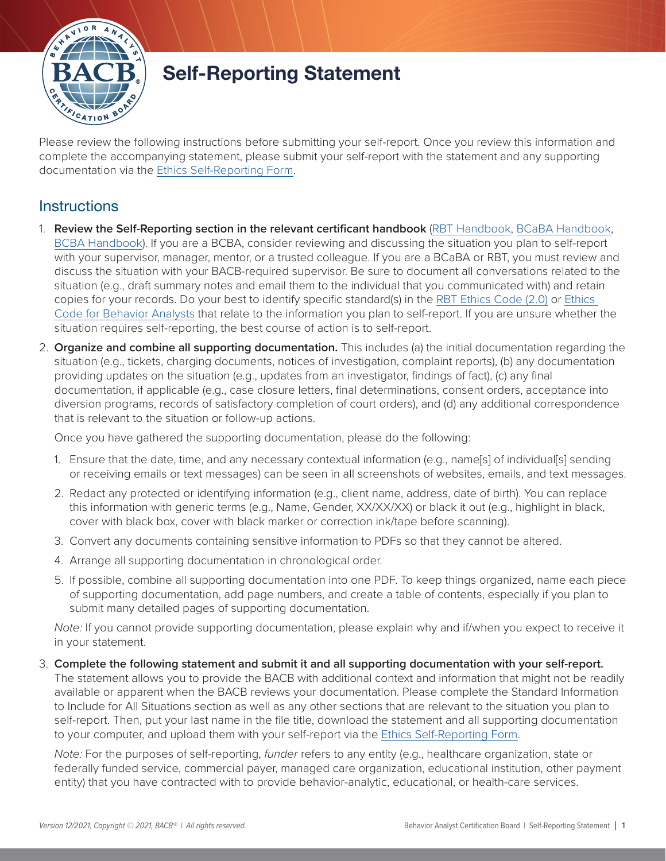

# Self-Reporting Statement

Please review the following instructions before submitting your self-report. Once you review this information and complete the accompanying statement, please submit your self-report with the statement and any supporting documentation via the [Ethics Self-Reporting Form.](https://www.bacb.com/ethics-information/reporting-to-ethics-department/self-reporting/)

### **Instructions**

- 1. **Review the Self-Reporting section in the relevant certificant handbook** ([RBT Handbook,](https://www.bacb.com/rbt-handbook) [BCaBA Handbook,](https://www.bacb.com/bcaba-handbook) [BCBA Handbook\)](https://www.bacb.com/bcba-handbook). If you are a BCBA, consider reviewing and discussing the situation you plan to self-report with your supervisor, manager, mentor, or a trusted colleague. If you are a BCaBA or RBT, you must review and discuss the situation with your BACB-required supervisor. Be sure to document all conversations related to the situation (e.g., draft summary notes and email them to the individual that you communicated with) and retain copies for your records. Do your best to identify specific standard(s) in the [RBT Ethics Code \(2.0\)](https://www.bacb.com/wp-content/rbt-compliance-code-future/) or [Ethics](https://www.bacb.com/wp-content/bacb-compliance-code-future)  [Code for Behavior Analysts](https://www.bacb.com/wp-content/bacb-compliance-code-future) that relate to the information you plan to self-report. If you are unsure whether the situation requires self-reporting, the best course of action is to self-report.
- 2. **Organize and combine all supporting documentation.** This includes (a) the initial documentation regarding the situation (e.g., tickets, charging documents, notices of investigation, complaint reports), (b) any documentation providing updates on the situation (e.g., updates from an investigator, findings of fact), (c) any final documentation, if applicable (e.g., case closure letters, final determinations, consent orders, acceptance into diversion programs, records of satisfactory completion of court orders), and (d) any additional correspondence that is relevant to the situation or follow-up actions.

Once you have gathered the supporting documentation, please do the following:

- 1. Ensure that the date, time, and any necessary contextual information (e.g., name[s] of individual[s] sending or receiving emails or text messages) can be seen in all screenshots of websites, emails, and text messages.
- 2. Redact any protected or identifying information (e.g., client name, address, date of birth). You can replace this information with generic terms (e.g., Name, Gender, XX/XX/XX) or black it out (e.g., highlight in black, cover with black box, cover with black marker or correction ink/tape before scanning).
- 3. Convert any documents containing sensitive information to PDFs so that they cannot be altered.
- 4. Arrange all supporting documentation in chronological order.
- 5. If possible, combine all supporting documentation into one PDF. To keep things organized, name each piece of supporting documentation, add page numbers, and create a table of contents, especially if you plan to submit many detailed pages of supporting documentation.

*Note:* If you cannot provide supporting documentation, please explain why and if/when you expect to receive it in your statement.

3. **Complete the following statement and submit it and all supporting documentation with your self-report.** The statement allows you to provide the BACB with additional context and information that might not be readily available or apparent when the BACB reviews your documentation. Please complete the Standard Information to Include for All Situations section as well as any other sections that are relevant to the situation you plan to self-report. Then, put your last name in the file title, download the statement and all supporting documentation to your computer, and upload them with your self-report via the [Ethics Self-Reporting Form](https://www.bacb.com/ethics-information/reporting-to-ethics-department/self-reporting/).

*Note:* For the purposes of self-reporting, *funder* refers to any entity (e.g., healthcare organization, state or federally funded service, commercial payer, managed care organization, educational institution, other payment entity) that you have contracted with to provide behavior-analytic, educational, or health-care services.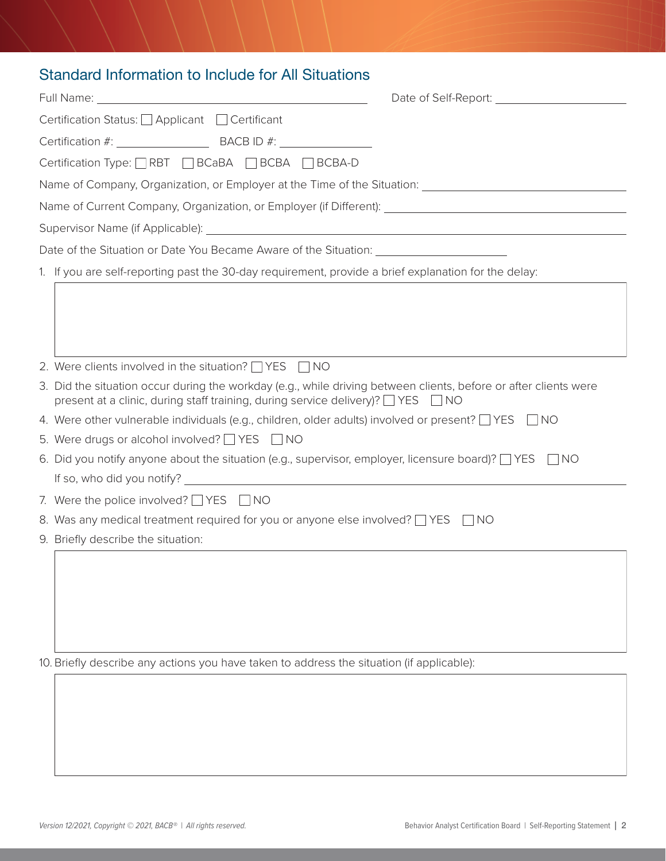## Standard Information to Include for All Situations

| Certification Status: □ Applicant □ Certificant                                                                                                                                                  |
|--------------------------------------------------------------------------------------------------------------------------------------------------------------------------------------------------|
|                                                                                                                                                                                                  |
| Certification Type: RBT BCaBA BCBA BCBA-D                                                                                                                                                        |
|                                                                                                                                                                                                  |
| Name of Current Company, Organization, or Employer (if Different): [18] Name of Current Company, Organization, or Employer (if Different):                                                       |
|                                                                                                                                                                                                  |
|                                                                                                                                                                                                  |
| 1. If you are self-reporting past the 30-day requirement, provide a brief explanation for the delay:                                                                                             |
|                                                                                                                                                                                                  |
| 2. Were clients involved in the situation? $\Box$ YES $\Box$ NO                                                                                                                                  |
| 3. Did the situation occur during the workday (e.g., while driving between clients, before or after clients were<br>present at a clinic, during staff training, during service delivery)? VES NO |
| 4. Were other vulnerable individuals (e.g., children, older adults) involved or present? $\Box$ YES $\Box$ NO                                                                                    |
| 5. Were drugs or alcohol involved? $\Box$ YES $\Box$ NO                                                                                                                                          |
| 6. Did you notify anyone about the situation (e.g., supervisor, employer, licensure board)? $\Box$ YES<br>I INO                                                                                  |
| 7. Were the police involved? $\Box$ YES $\Box$ NO                                                                                                                                                |
| 8. Was any medical treatment required for you or anyone else involved? $\Box$ YES $\Box$ NO                                                                                                      |
| 9. Briefly describe the situation:                                                                                                                                                               |
|                                                                                                                                                                                                  |
| 10. Briefly describe any actions you have taken to address the situation (if applicable):                                                                                                        |
|                                                                                                                                                                                                  |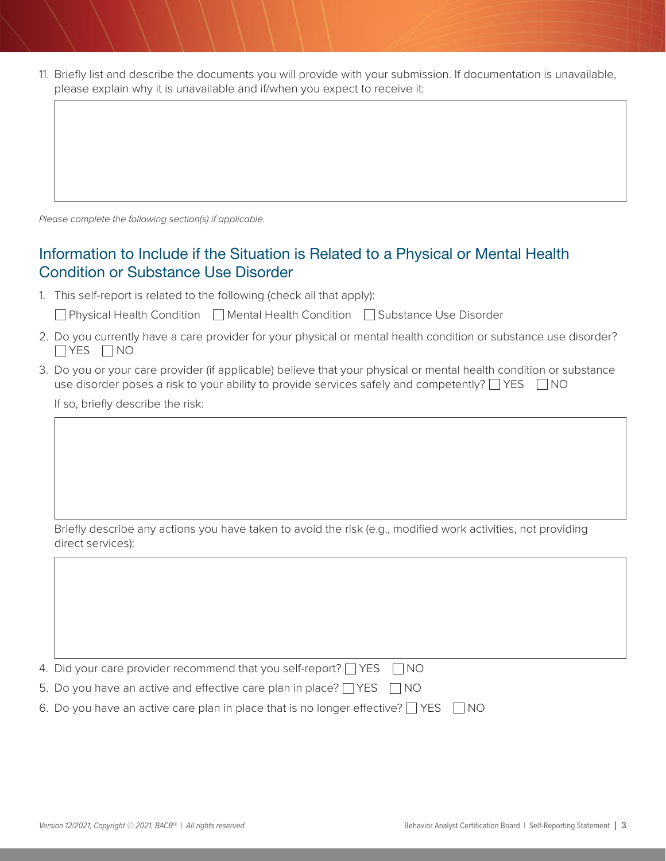| 11. Briefly list and describe the documents you will provide with your submission. If documentation is unavailable, |
|---------------------------------------------------------------------------------------------------------------------|
| please explain why it is unavailable and if/when you expect to receive it:                                          |

*Please complete the following section(s) if applicable.*

#### Information to Include if the Situation is Related to a Physical or Mental Health Condition or Substance Use Disorder

1. This self-report is related to the following (check all that apply):

□ Physical Health Condition □ Mental Health Condition □ Substance Use Disorder

- 2. Do you currently have a care provider for your physical or mental health condition or substance use disorder?  $\Box$  YES  $\Box$  NO
- 3. Do you or your care provider (if applicable) believe that your physical or mental health condition or substance use disorder poses a risk to your ability to provide services safely and competently?  $\Box$  YES  $\Box$  NO

If so, briefly describe the risk:

Briefly describe any actions you have taken to avoid the risk (e.g., modified work activities, not providing direct services):

4. Did your care provider recommend that you self-report?  $\Box$  YES  $\Box$  NO

5. Do you have an active and effective care plan in place?  $\Box$  YES  $\Box$  NO

|  |  |  |  |  |  |  |  | 6. Do you have an active care plan in place that is no longer effective? $\Box$ YES $\Box$ NO |  |  |
|--|--|--|--|--|--|--|--|-----------------------------------------------------------------------------------------------|--|--|
|--|--|--|--|--|--|--|--|-----------------------------------------------------------------------------------------------|--|--|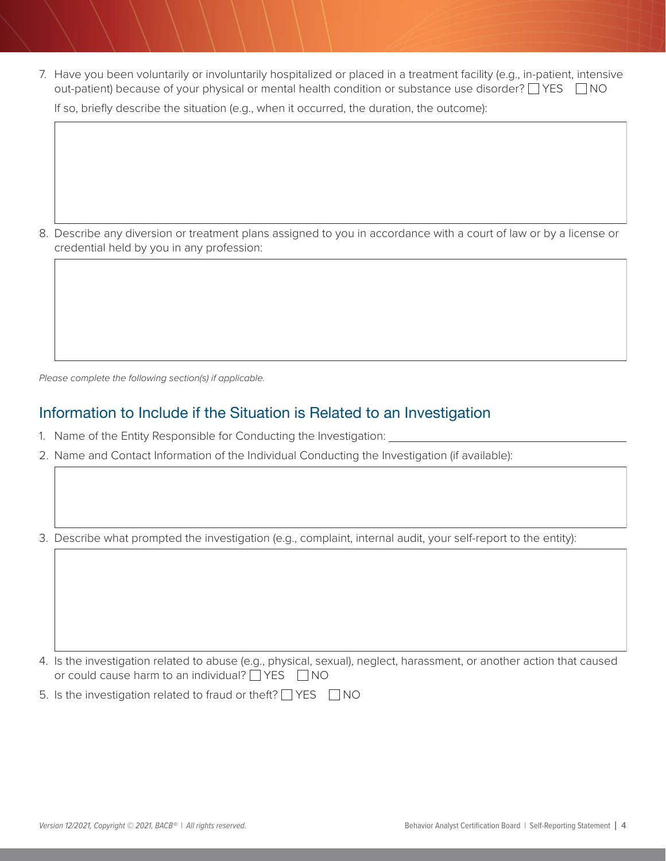7. Have you been voluntarily or involuntarily hospitalized or placed in a treatment facility (e.g., in-patient, intensive out-patient) because of your physical or mental health condition or substance use disorder? THES THO

If so, briefly describe the situation (e.g., when it occurred, the duration, the outcome):

8. Describe any diversion or treatment plans assigned to you in accordance with a court of law or by a license or credential held by you in any profession:

*Please complete the following section(s) if applicable.*

#### Information to Include if the Situation is Related to an Investigation

- 1. Name of the Entity Responsible for Conducting the Investigation:
- 2. Name and Contact Information of the Individual Conducting the Investigation (if available):

3. Describe what prompted the investigation (e.g., complaint, internal audit, your self-report to the entity):

4. Is the investigation related to abuse (e.g., physical, sexual), neglect, harassment, or another action that caused or could cause harm to an individual?  $\Box$  YES  $\Box$  NO

5. Is the investigation related to fraud or theft?  $\Box$  YES  $\Box$  NO